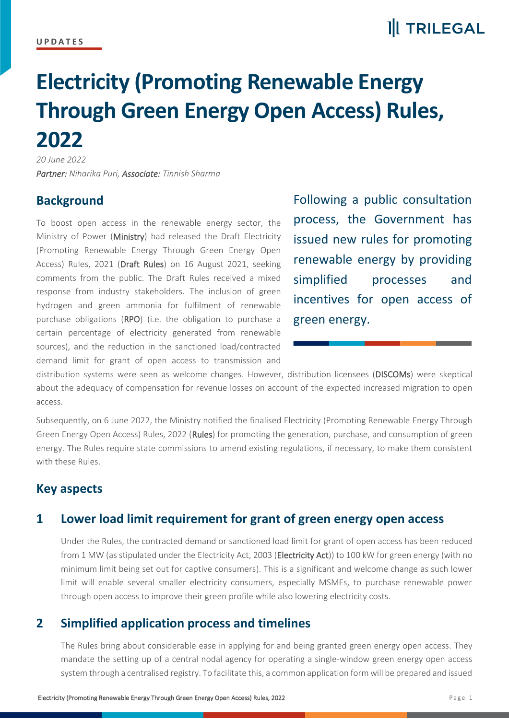### **II** TRILEGAL

# **Electricity (Promoting Renewable Energy Through Green Energy Open Access) Rules, 2022**

*20 June 2022 Partner: Niharika Puri, Associate: Tinnish Sharma*

#### **Background**

To boost open access in the renewable energy sector, the Ministry of Power (Ministry) had released the Draft Electricity (Promoting Renewable Energy Through Green Energy Open Access) Rules, 2021 (Draft Rules) on 16 August 2021, seeking comments from the public. The Draft Rules received a mixed response from industry stakeholders. The inclusion of green hydrogen and green ammonia for fulfilment of renewable purchase obligations (RPO) (i.e. the obligation to purchase a certain percentage of electricity generated from renewable sources), and the reduction in the sanctioned load/contracted demand limit for grant of open access to transmission and

Following a public consultation process, the Government has issued new rules for promoting renewable energy by providing simplified processes and incentives for open access of green energy.

distribution systems were seen as welcome changes. However, distribution licensees (DISCOMs) were skeptical about the adequacy of compensation for revenue losses on account of the expected increased migration to open access.

Subsequently, on 6 June 2022, the Ministry notified the finalised Electricity (Promoting Renewable Energy Through Green Energy Open Access) Rules, 2022 (Rules) for promoting the generation, purchase, and consumption of green energy. The Rules require state commissions to amend existing regulations, if necessary, to make them consistent with these Rules.

#### **Key aspects**

#### **1 Lower load limit requirement for grant of green energy open access**

Under the Rules, the contracted demand or sanctioned load limit for grant of open access has been reduced from 1 MW (as stipulated under the Electricity Act, 2003 (Electricity Act)) to 100 kW for green energy (with no minimum limit being set out for captive consumers). This is a significant and welcome change as such lower limit will enable several smaller electricity consumers, especially MSMEs, to purchase renewable power through open access to improve their green profile while also lowering electricity costs.

#### **2 Simplified application process and timelines**

The Rules bring about considerable ease in applying for and being granted green energy open access. They mandate the setting up of a central nodal agency for operating a single-window green energy open access system through a centralised registry. To facilitate this, a common application form will be prepared and issued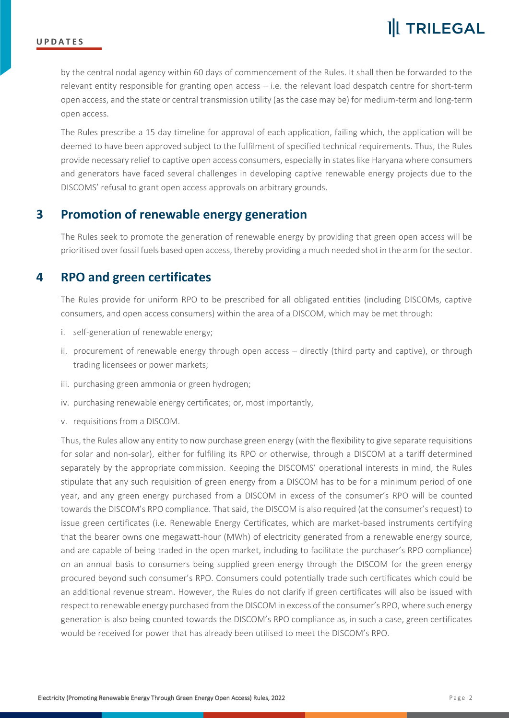by the central nodal agency within 60 days of commencement of the Rules. It shall then be forwarded to the relevant entity responsible for granting open access – i.e. the relevant load despatch centre for short-term open access, and the state or central transmission utility (as the case may be) for medium-term and long-term open access.

The Rules prescribe a 15 day timeline for approval of each application, failing which, the application will be deemed to have been approved subject to the fulfilment of specified technical requirements. Thus, the Rules provide necessary relief to captive open access consumers, especially in states like Haryana where consumers and generators have faced several challenges in developing captive renewable energy projects due to the DISCOMS' refusal to grant open access approvals on arbitrary grounds.

#### **3 Promotion of renewable energy generation**

The Rules seek to promote the generation of renewable energy by providing that green open access will be prioritised over fossil fuels based open access, thereby providing a much needed shot in the arm for the sector.

#### **4 RPO and green certificates**

The Rules provide for uniform RPO to be prescribed for all obligated entities (including DISCOMs, captive consumers, and open access consumers) within the area of a DISCOM, which may be met through:

- i. self-generation of renewable energy;
- ii. procurement of renewable energy through open access directly (third party and captive), or through trading licensees or power markets;
- iii. purchasing green ammonia or green hydrogen;
- iv. purchasing renewable energy certificates; or, most importantly,
- v. requisitions from a DISCOM.

Thus, the Rules allow any entity to now purchase green energy (with the flexibility to give separate requisitions for solar and non-solar), either for fulfiling its RPO or otherwise, through a DISCOM at a tariff determined separately by the appropriate commission. Keeping the DISCOMS' operational interests in mind, the Rules stipulate that any such requisition of green energy from a DISCOM has to be for a minimum period of one year, and any green energy purchased from a DISCOM in excess of the consumer's RPO will be counted towards the DISCOM's RPO compliance. That said, the DISCOM is also required (at the consumer's request) to issue green certificates (i.e. Renewable Energy Certificates, which are market-based instruments certifying that the bearer owns one megawatt-hour (MWh) of electricity generated from a renewable energy source, and are capable of being traded in the open market, including to facilitate the purchaser's RPO compliance) on an annual basis to consumers being supplied green energy through the DISCOM for the green energy procured beyond such consumer's RPO. Consumers could potentially trade such certificates which could be an additional revenue stream. However, the Rules do not clarify if green certificates will also be issued with respect to renewable energy purchased from the DISCOM in excess of the consumer's RPO, where such energy generation is also being counted towards the DISCOM's RPO compliance as, in such a case, green certificates would be received for power that has already been utilised to meet the DISCOM's RPO.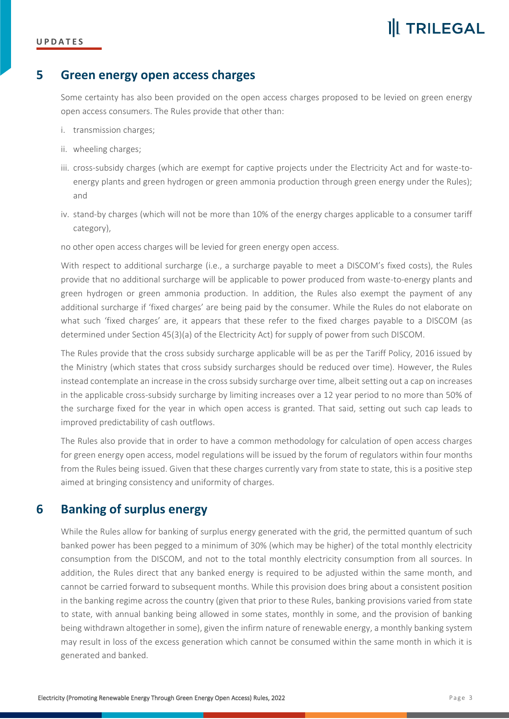#### **U P D A T E S**

## **II** TRILEGAL

#### **5 Green energy open access charges**

Some certainty has also been provided on the open access charges proposed to be levied on green energy open access consumers. The Rules provide that other than:

- i. transmission charges;
- ii. wheeling charges;
- iii. cross-subsidy charges (which are exempt for captive projects under the Electricity Act and for waste-toenergy plants and green hydrogen or green ammonia production through green energy under the Rules); and
- iv. stand-by charges (which will not be more than 10% of the energy charges applicable to a consumer tariff category),

no other open access charges will be levied for green energy open access.

With respect to additional surcharge (i.e., a surcharge payable to meet a DISCOM's fixed costs), the Rules provide that no additional surcharge will be applicable to power produced from waste-to-energy plants and green hydrogen or green ammonia production. In addition, the Rules also exempt the payment of any additional surcharge if 'fixed charges' are being paid by the consumer. While the Rules do not elaborate on what such 'fixed charges' are, it appears that these refer to the fixed charges payable to a DISCOM (as determined under Section 45(3)(a) of the Electricity Act) for supply of power from such DISCOM.

The Rules provide that the cross subsidy surcharge applicable will be as per the Tariff Policy, 2016 issued by the Ministry (which states that cross subsidy surcharges should be reduced over time). However, the Rules instead contemplate an increase in the cross subsidy surcharge over time, albeit setting out a cap on increases in the applicable cross-subsidy surcharge by limiting increases over a 12 year period to no more than 50% of the surcharge fixed for the year in which open access is granted. That said, setting out such cap leads to improved predictability of cash outflows.

The Rules also provide that in order to have a common methodology for calculation of open access charges for green energy open access, model regulations will be issued by the forum of regulators within four months from the Rules being issued. Given that these charges currently vary from state to state, this is a positive step aimed at bringing consistency and uniformity of charges.

#### **6 Banking of surplus energy**

While the Rules allow for banking of surplus energy generated with the grid, the permitted quantum of such banked power has been pegged to a minimum of 30% (which may be higher) of the total monthly electricity consumption from the DISCOM, and not to the total monthly electricity consumption from all sources. In addition, the Rules direct that any banked energy is required to be adjusted within the same month, and cannot be carried forward to subsequent months. While this provision does bring about a consistent position in the banking regime across the country (given that prior to these Rules, banking provisions varied from state to state, with annual banking being allowed in some states, monthly in some, and the provision of banking being withdrawn altogether in some), given the infirm nature of renewable energy, a monthly banking system may result in loss of the excess generation which cannot be consumed within the same month in which it is generated and banked.